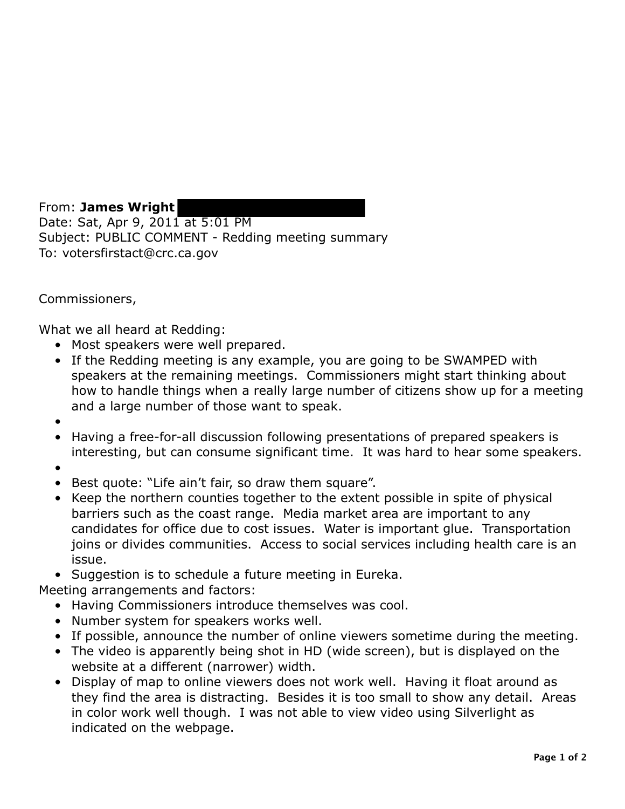From: **James Wright**  Date: Sat, Apr 9, 2011 at 5:01 PM Subject: PUBLIC COMMENT - Redding meeting summary To: votersfirstact@crc.ca.gov

## Commissioners,

What we all heard at Redding:

- Most speakers were well prepared.
- If the Redding meeting is any example, you are going to be SWAMPED with speakers at the remaining meetings. Commissioners might start thinking about how to handle things when a really large number of citizens show up for a meeting and a large number of those want to speak.
- •
- Having a free-for-all discussion following presentations of prepared speakers is interesting, but can consume significant time. It was hard to hear some speakers.
- •
- Best quote: "Life ain't fair, so draw them square".
- Keep the northern counties together to the extent possible in spite of physical barriers such as the coast range. Media market area are important to any candidates for office due to cost issues. Water is important glue. Transportation joins or divides communities. Access to social services including health care is an issue.
- Suggestion is to schedule a future meeting in Eureka.

Meeting arrangements and factors:

- Having Commissioners introduce themselves was cool.
- Number system for speakers works well.
- If possible, announce the number of online viewers sometime during the meeting.
- The video is apparently being shot in HD (wide screen), but is displayed on the website at a different (narrower) width.
- Display of map to online viewers does not work well. Having it float around as they find the area is distracting. Besides it is too small to show any detail. Areas in color work well though. I was not able to view video using Silverlight as indicated on the webpage.